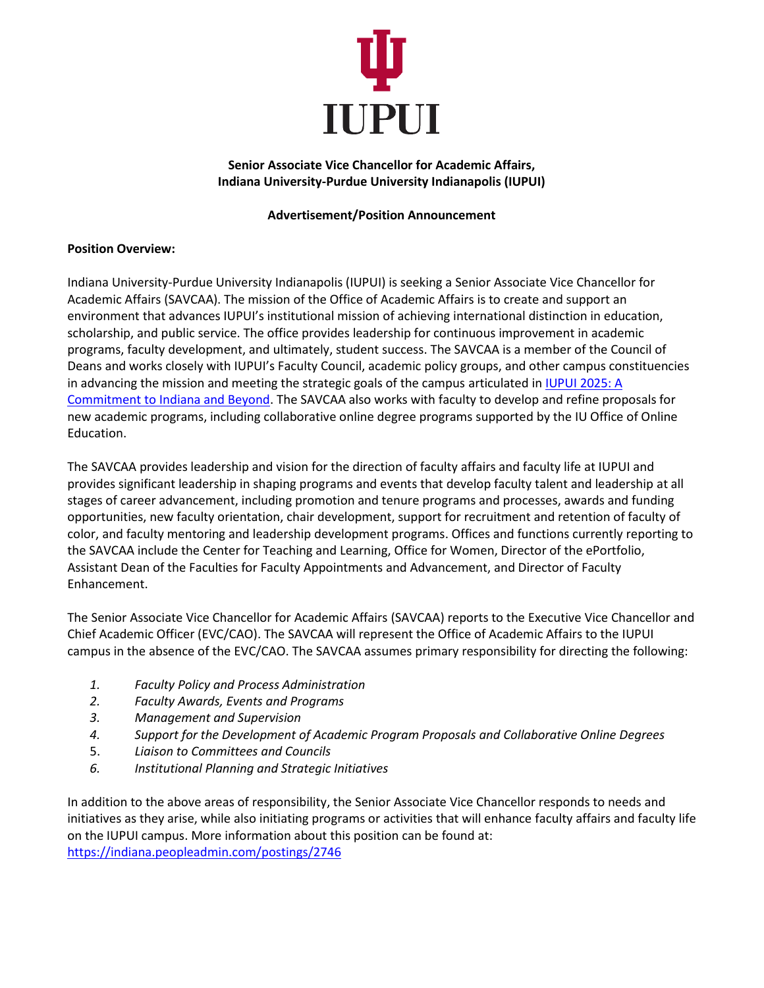

## **Senior Associate Vice Chancellor for Academic Affairs, Indiana University-Purdue University Indianapolis (IUPUI)**

## **Advertisement/Position Announcement**

## **Position Overview:**

Indiana University-Purdue University Indianapolis (IUPUI) is seeking a Senior Associate Vice Chancellor for Academic Affairs (SAVCAA). The mission of the Office of Academic Affairs is to create and support an environment that advances IUPUI's institutional mission of achieving international distinction in education, scholarship, and public service. The office provides leadership for continuous improvement in academic programs, faculty development, and ultimately, student success. The SAVCAA is a member of the Council of Deans and works closely with IUPUI's Faculty Council, academic policy groups, and other campus constituencies in advancing the mission and meeting the strategic goals of the campus articulated in IUPUI 2025: A [Commitment to Indiana and Beyond.](http://strategicplan.iupui.edu/) The SAVCAA also works with faculty to develop and refine proposals for new academic programs, including collaborative online degree programs supported by the IU Office of Online Education.

The SAVCAA provides leadership and vision for the direction of faculty affairs and faculty life at IUPUI and provides significant leadership in shaping programs and events that develop faculty talent and leadership at all stages of career advancement, including promotion and tenure programs and processes, awards and funding opportunities, new faculty orientation, chair development, support for recruitment and retention of faculty of color, and faculty mentoring and leadership development programs. Offices and functions currently reporting to the SAVCAA include the Center for Teaching and Learning, Office for Women, Director of the ePortfolio, Assistant Dean of the Faculties for Faculty Appointments and Advancement, and Director of Faculty Enhancement.

The Senior Associate Vice Chancellor for Academic Affairs (SAVCAA) reports to the Executive Vice Chancellor and Chief Academic Officer (EVC/CAO). The SAVCAA will represent the Office of Academic Affairs to the IUPUI campus in the absence of the EVC/CAO. The SAVCAA assumes primary responsibility for directing the following:

- *1. Faculty Policy and Process Administration*
- *2. Faculty Awards, Events and Programs*
- *3. Management and Supervision*
- *4. Support for the Development of Academic Program Proposals and Collaborative Online Degrees*
- 5. *Liaison to Committees and Councils*
- *6. Institutional Planning and Strategic Initiatives*

In addition to the above areas of responsibility, the Senior Associate Vice Chancellor responds to needs and initiatives as they arise, while also initiating programs or activities that will enhance faculty affairs and faculty life on the IUPUI campus. More information about this position can be found at: <https://indiana.peopleadmin.com/postings/2746>